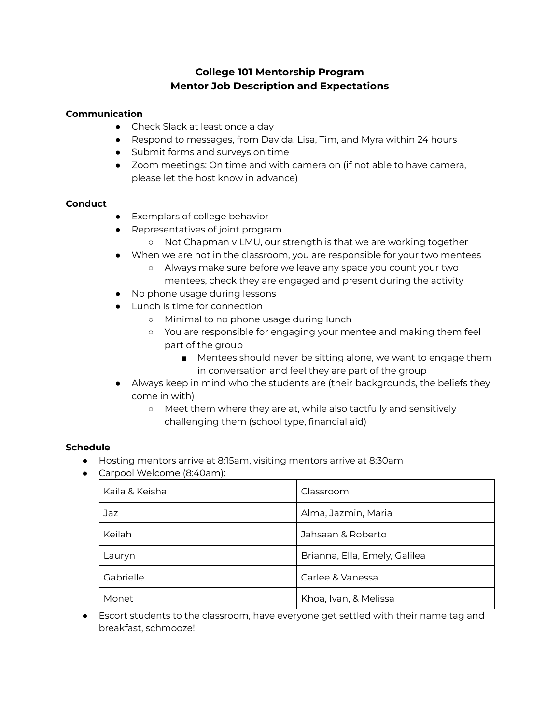# **College 101 Mentorship Program Mentor Job Description and Expectations**

## **Communication**

- Check Slack at least once a day
- Respond to messages, from Davida, Lisa, Tim, and Myra within 24 hours
- Submit forms and surveys on time
- Zoom meetings: On time and with camera on (if not able to have camera, please let the host know in advance)

#### **Conduct**

- Exemplars of college behavior
- Representatives of joint program
	- Not Chapman v LMU, our strength is that we are working together
- When we are not in the classroom, you are responsible for your two mentees
	- Always make sure before we leave any space you count your two mentees, check they are engaged and present during the activity
- No phone usage during lessons
- Lunch is time for connection
	- Minimal to no phone usage during lunch
	- You are responsible for engaging your mentee and making them feel part of the group
		- Mentees should never be sitting alone, we want to engage them in conversation and feel they are part of the group
- Always keep in mind who the students are (their backgrounds, the beliefs they come in with)
	- Meet them where they are at, while also tactfully and sensitively challenging them (school type, financial aid)

## **Schedule**

- Hosting mentors arrive at 8:15am, visiting mentors arrive at 8:30am
- Carpool Welcome (8:40am):

| Kaila & Keisha | Classroom                     |
|----------------|-------------------------------|
| Jaz            | Alma, Jazmin, Maria           |
| Keilah         | Jahsaan & Roberto             |
| Lauryn         | Brianna, Ella, Emely, Galilea |
| Gabrielle      | Carlee & Vanessa              |
| Monet          | Khoa, Ivan, & Melissa         |

● Escort students to the classroom, have everyone get settled with their name tag and breakfast, schmooze!